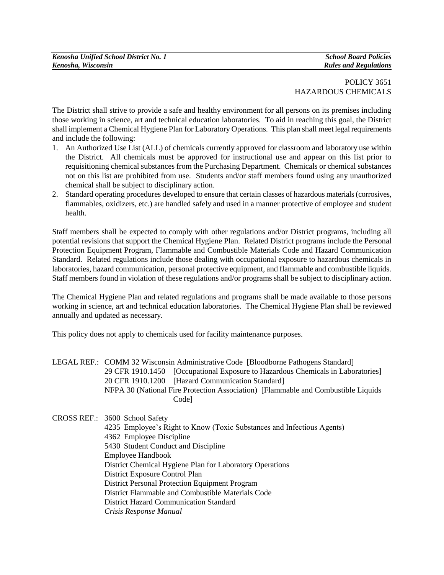## POLICY 3651 HAZARDOUS CHEMICALS

The District shall strive to provide a safe and healthy environment for all persons on its premises including those working in science, art and technical education laboratories. To aid in reaching this goal, the District shall implement a Chemical Hygiene Plan for Laboratory Operations. This plan shall meet legal requirements and include the following:

- 1. An Authorized Use List (ALL) of chemicals currently approved for classroom and laboratory use within the District. All chemicals must be approved for instructional use and appear on this list prior to requisitioning chemical substances from the Purchasing Department. Chemicals or chemical substances not on this list are prohibited from use. Students and/or staff members found using any unauthorized chemical shall be subject to disciplinary action.
- 2. Standard operating procedures developed to ensure that certain classes of hazardous materials (corrosives, flammables, oxidizers, etc.) are handled safely and used in a manner protective of employee and student health.

Staff members shall be expected to comply with other regulations and/or District programs, including all potential revisions that support the Chemical Hygiene Plan. Related District programs include the Personal Protection Equipment Program, Flammable and Combustible Materials Code and Hazard Communication Standard. Related regulations include those dealing with occupational exposure to hazardous chemicals in laboratories, hazard communication, personal protective equipment, and flammable and combustible liquids. Staff members found in violation of these regulations and/or programs shall be subject to disciplinary action.

The Chemical Hygiene Plan and related regulations and programs shall be made available to those persons working in science, art and technical education laboratories. The Chemical Hygiene Plan shall be reviewed annually and updated as necessary.

This policy does not apply to chemicals used for facility maintenance purposes.

LEGAL REF.: COMM 32 Wisconsin Administrative Code [Bloodborne Pathogens Standard] 29 CFR 1910.1450 [Occupational Exposure to Hazardous Chemicals in Laboratories] 20 CFR 1910.1200 [Hazard Communication Standard] NFPA 30 (National Fire Protection Association) [Flammable and Combustible Liquids Code]

CROSS REF.: 3600 School Safety 4235 Employee's Right to Know (Toxic Substances and Infectious Agents) 4362 Employee Discipline 5430 Student Conduct and Discipline Employee Handbook District Chemical Hygiene Plan for Laboratory Operations District Exposure Control Plan District Personal Protection Equipment Program District Flammable and Combustible Materials Code District Hazard Communication Standard *Crisis Response Manual*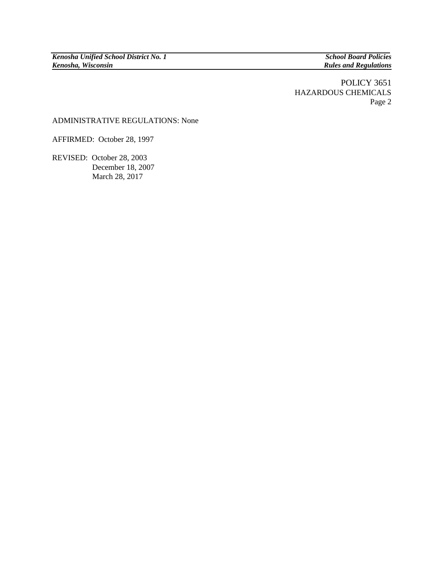$Rules$  *and Regulations* 

## POLICY 3651 HAZARDOUS CHEMICALS Page 2

## ADMINISTRATIVE REGULATIONS: None

AFFIRMED: October 28, 1997

REVISED: October 28, 2003 December 18, 2007 March 28, 2017